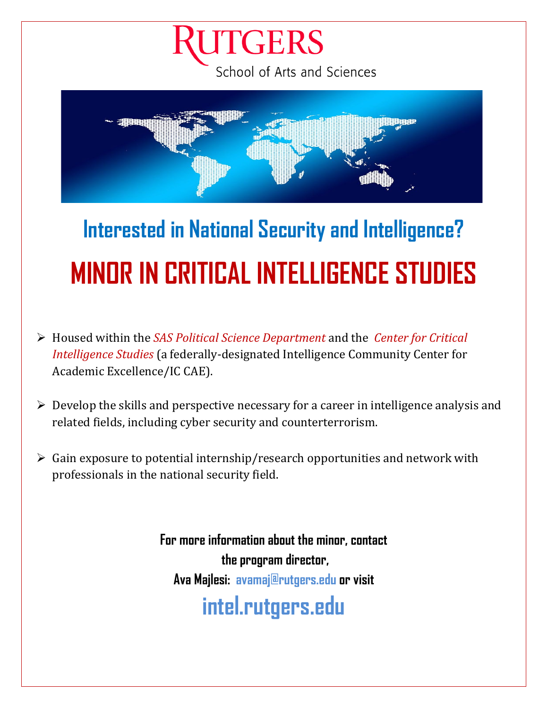### **UTGERS** School of Arts and Sciences



# **Interested in National Security and Intelligence? MINOR IN CRITICAL INTELLIGENCE STUDIES**

- Housed within the *SAS Political Science Department* and the *Center for Critical Intelligence Studies* (a federally-designated Intelligence Community Center for Academic Excellence/IC CAE).
- $\triangleright$  Develop the skills and perspective necessary for a career in intelligence analysis and related fields, including cyber security and counterterrorism.
- $\triangleright$  Gain exposure to potential internship/research opportunities and network with professionals in the national security field.

**For more information about the minor, contact the program director, Ava Majlesi: [avamaj@rutgers.edu](mailto:avamaj@rutgers.edu) or visit [intel.rutgers.edu](https://risc.rutgers.edu/iccae/minor-critical-intelligence-studies)**